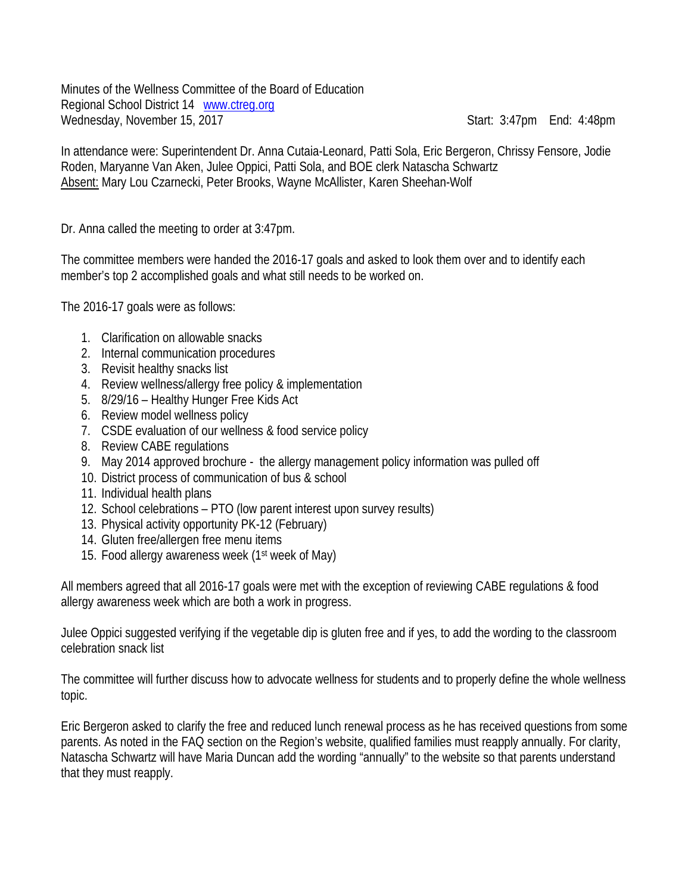Minutes of the Wellness Committee of the Board of Education Regional School District 14 [www.ctreg.org](http://www.ctreg.org/) Wednesday, November 15, 2017 Start: 3:47pm End: 4:48pm

In attendance were: Superintendent Dr. Anna Cutaia-Leonard, Patti Sola, Eric Bergeron, Chrissy Fensore, Jodie Roden, Maryanne Van Aken, Julee Oppici, Patti Sola, and BOE clerk Natascha Schwartz Absent: Mary Lou Czarnecki, Peter Brooks, Wayne McAllister, Karen Sheehan-Wolf

Dr. Anna called the meeting to order at 3:47pm.

The committee members were handed the 2016-17 goals and asked to look them over and to identify each member's top 2 accomplished goals and what still needs to be worked on.

The 2016-17 goals were as follows:

- 1. Clarification on allowable snacks
- 2. Internal communication procedures
- 3. Revisit healthy snacks list
- 4. Review wellness/allergy free policy & implementation
- 5. 8/29/16 Healthy Hunger Free Kids Act
- 6. Review model wellness policy
- 7. CSDE evaluation of our wellness & food service policy
- 8. Review CABE regulations
- 9. May 2014 approved brochure the allergy management policy information was pulled off
- 10. District process of communication of bus & school
- 11. Individual health plans
- 12. School celebrations PTO (low parent interest upon survey results)
- 13. Physical activity opportunity PK-12 (February)
- 14. Gluten free/allergen free menu items
- 15. Food allergy awareness week (1st week of May)

All members agreed that all 2016-17 goals were met with the exception of reviewing CABE regulations & food allergy awareness week which are both a work in progress.

Julee Oppici suggested verifying if the vegetable dip is gluten free and if yes, to add the wording to the classroom celebration snack list

The committee will further discuss how to advocate wellness for students and to properly define the whole wellness topic.

Eric Bergeron asked to clarify the free and reduced lunch renewal process as he has received questions from some parents. As noted in the FAQ section on the Region's website, qualified families must reapply annually. For clarity, Natascha Schwartz will have Maria Duncan add the wording "annually" to the website so that parents understand that they must reapply.